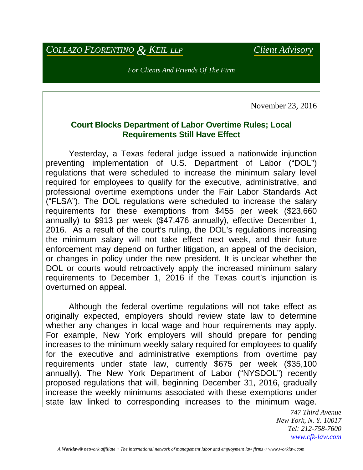## *COLLAZO FLORENTINO & KEIL LLP Client Advisory*

*For Clients And Friends Of The Firm*

November 23, 2016

## **Court Blocks Department of Labor Overtime Rules; Local Requirements Still Have Effect**

 Yesterday, a Texas federal judge issued a nationwide injunction preventing implementation of U.S. Department of Labor ("DOL") regulations that were scheduled to increase the minimum salary level required for employees to qualify for the executive, administrative, and professional overtime exemptions under the Fair Labor Standards Act ("FLSA"). The DOL regulations were scheduled to increase the salary requirements for these exemptions from \$455 per week (\$23,660 annually) to \$913 per week (\$47,476 annually), effective December 1, 2016. As a result of the court's ruling, the DOL's regulations increasing the minimum salary will not take effect next week, and their future enforcement may depend on further litigation, an appeal of the decision, or changes in policy under the new president. It is unclear whether the DOL or courts would retroactively apply the increased minimum salary requirements to December 1, 2016 if the Texas court's injunction is overturned on appeal.

 Although the federal overtime regulations will not take effect as originally expected, employers should review state law to determine whether any changes in local wage and hour requirements may apply. For example, New York employers will should prepare for pending increases to the minimum weekly salary required for employees to qualify for the executive and administrative exemptions from overtime pay requirements under state law, currently \$675 per week (\$35,100 annually). The New York Department of Labor ("NYSDOL") recently proposed regulations that will, beginning December 31, 2016, gradually increase the weekly minimums associated with these exemptions under state law linked to corresponding increases to the minimum wage.

> *747 Third Avenue New York, N. Y. 10017 Tel: 212-758-7600 [www.cfk-law.com](http://www.cfk-law.com/)*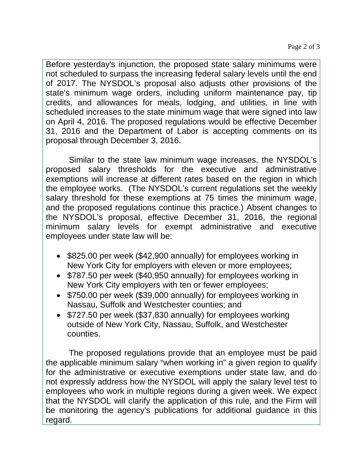Before yesterday's injunction, the proposed state salary minimums were not scheduled to surpass the increasing federal salary levels until the end of 2017. The NYSDOL's proposal also adjusts other provisions of the state's minimum wage orders, including uniform maintenance pay, tip credits, and allowances for meals, lodging, and utilities, in line with scheduled increases to the state minimum wage that were signed into law on April 4, 2016. The proposed regulations would be effective December 31, 2016 and the Department of Labor is accepting comments on its proposal through December 3, 2016.

 Similar to the state law minimum wage increases, the NYSDOL's proposed salary thresholds for the executive and administrative exemptions will increase at different rates based on the region in which the employee works. (The NYSDOL's current regulations set the weekly salary threshold for these exemptions at 75 times the minimum wage, and the proposed regulations continue this practice.) Absent changes to the NYSDOL's proposal, effective December 31, 2016, the regional minimum salary levels for exempt administrative and executive employees under state law will be:

- \$825.00 per week (\$42,900 annually) for employees working in New York City for employers with eleven or more employees;
- \$787.50 per week (\$40,950 annually) for employees working in New York City employers with ten or fewer employees;
- \$750.00 per week (\$39,000 annually) for employees working in Nassau, Suffolk and Westchester counties; and
- \$727.50 per week (\$37,830 annually) for employees working outside of New York City, Nassau, Suffolk, and Westchester counties.

 The proposed regulations provide that an employee must be paid the applicable minimum salary "when working in" a given region to qualify for the administrative or executive exemptions under state law, and do not expressly address how the NYSDOL will apply the salary level test to employees who work in multiple regions during a given week. We expect that the NYSDOL will clarify the application of this rule, and the Firm will be monitoring the agency's publications for additional guidance in this regard.